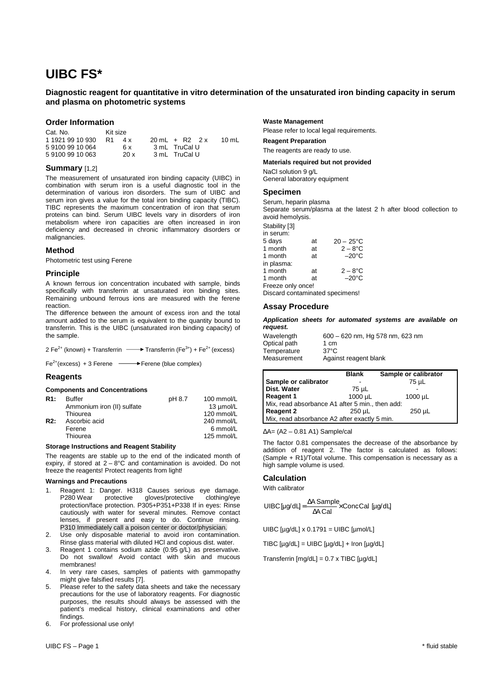# **UIBC FS\***

# **Diagnostic reagent for quantitative in vitro determination of the unsaturated iron binding capacity in serum and plasma on photometric systems**

# **Order Information**

| Cat. No.         | Kit size  |                          |       |
|------------------|-----------|--------------------------|-------|
| 1 1921 99 10 930 | R1<br>4 x | $20 \text{ ml} + R2$ 2 x | 10 mL |
| 5 9100 99 10 064 | 6 x       | 3 mL TruCal U            |       |
| 5 9100 99 10 063 | 20 x      | 3 mL TruCal U            |       |

# **Summary** [1,2]

The measurement of unsaturated iron binding capacity (UIBC) in combination with serum iron is a useful diagnostic tool in the determination of various iron disorders. The sum of UIBC and serum iron gives a value for the total iron binding capacity (TIBC). TIBC represents the maximum concentration of iron that serum proteins can bind. Serum UIBC levels vary in disorders of iron metabolism where iron capacities are often increased in iron deficiency and decreased in chronic inflammatory disorders or malignancies.

# **Method**

Photometric test using Ferene

# **Principle**

A known ferrous ion concentration incubated with sample, binds specifically with transferrin at unsaturated iron binding sites. Remaining unbound ferrous ions are measured with the ferene reaction.

The difference between the amount of excess iron and the total amount added to the serum is equivalent to the quantity bound to transferrin. This is the UIBC (unsaturated iron binding capacity) of the sample.

| 2 Fe <sup>2+</sup> (known) + Transferrin |  |  | Transferrin (Fe <sup>3+</sup> ) + Fe <sup>2+</sup> (excess) |  |
|------------------------------------------|--|--|-------------------------------------------------------------|--|
|------------------------------------------|--|--|-------------------------------------------------------------|--|

 $Fe<sup>2+</sup>(excess) + 3$  Ferene  $\longrightarrow$  Ferene (blue complex)

# **Reagents**

#### **Components and Concentrations**

| R1: | Buffer                     | pH 8.7 | 100 mmol/L |
|-----|----------------------------|--------|------------|
|     | Ammonium iron (II) sulfate |        | 13 µmol/L  |
|     | Thiourea                   |        | 120 mmol/L |
| R2: | Ascorbic acid              |        | 240 mmol/L |
|     | Ferene                     |        | 6 mmol/L   |
|     | Thiourea                   |        | 125 mmol/L |
|     |                            |        |            |

#### **Storage Instructions and Reagent Stability**

The reagents are stable up to the end of the indicated month of expiry, if stored at  $2 - 8^{\circ}$ C and contamination is avoided. Do not freeze the reagents! Protect reagents from light!

#### **Warnings and Precautions**

- 1. Reagent 1: Danger. H318 Causes serious eye damage. P280 Wear protective gloves/protective clothing/eye protection/face protection. P305+P351+P338 If in eyes: Rinse cautiously with water for several minutes. Remove contact lenses, if present and easy to do. Continue rinsing. P310 Immediately call a poison center or doctor/physician.
- 2. Use only disposable material to avoid iron contamination. Rinse glass material with diluted HCl and copious dist. water.
- 3. Reagent 1 contains sodium azide (0.95 g/L) as preservative. Do not swallow! Avoid contact with skin and mucous membranes!
- 4. In very rare cases, samples of patients with gammopathy might give falsified results [7].
- 5. Please refer to the safety data sheets and take the necessary precautions for the use of laboratory reagents. For diagnostic purposes, the results should always be assessed with the patient's medical history, clinical examinations and other findings.
- 6. For professional use only!

#### **Waste Management**

Please refer to local legal requirements.

**Reagent Preparation** 

The reagents are ready to use.

## **Materials required but not provided**

NaCl solution 9 g/L General laboratory equipment

### **Specimen**

Serum, heparin plasma

Separate serum/plasma at the latest 2 h after blood collection to avoid hemolysis.

Stability [3]

| in serum:         |    |                    |
|-------------------|----|--------------------|
| 5 days            | at | $20 - 25^{\circ}C$ |
| 1 month           | at | $2-8$ °C           |
| 1 month           | at | $-20^{\circ}$ C    |
| in plasma:        |    |                    |
| 1 month           | at | $2-8$ °C           |
| 1 month           | at | $-20^{\circ}$ C    |
| Freeze only once! |    |                    |
|                   |    |                    |

Discard contaminated specimens!

# **Assay Procedure**

**Application sheets for automated systems are available on request.** 

| Wavelength   | 600 - 620 nm, Hg 578 nm, 623 nm |
|--------------|---------------------------------|
| Optical path | 1 cm                            |
| Temperature  | $37^{\circ}$ C                  |
| Measurement  | Against reagent blank           |

|                                                 | <b>Blank</b> | Sample or calibrator |  |  |  |
|-------------------------------------------------|--------------|----------------------|--|--|--|
| Sample or calibrator                            |              | 75 µL                |  |  |  |
| Dist. Water                                     | 75 µL        |                      |  |  |  |
| <b>Reagent 1</b>                                | 1000 µL      | $1000 \mu L$         |  |  |  |
| Mix, read absorbance A1 after 5 min., then add: |              |                      |  |  |  |
| <b>Reagent 2</b>                                | 250 uL       | $250 \mu L$          |  |  |  |
| Mix, read absorbance A2 after exactly 5 min.    |              |                      |  |  |  |

∆A= (A2 – 0.81 A1) Sample/cal

The factor 0.81 compensates the decrease of the absorbance by addition of reagent 2. The factor is calculated as follows: (Sample + R1)/Total volume. This compensation is necessary as a high sample volume is used.

# **Calculation**

With calibrator

$$
U\text{IBC}[\mu g/dL] = \frac{\Delta A \text{ Sample}}{\Delta A \text{ Cal}} \times \text{ConcCal} [\mu g/dL]
$$

UIBC  $[\mu g/dL] \times 0.1791 = UIBC$   $[\mu mol/L]$ 

TIBC [µg/dL] = UIBC [µg/dL] + Iron [µg/dL]

Transferrin [mg/dL] = 0.7 x TIBC [µg/dL]